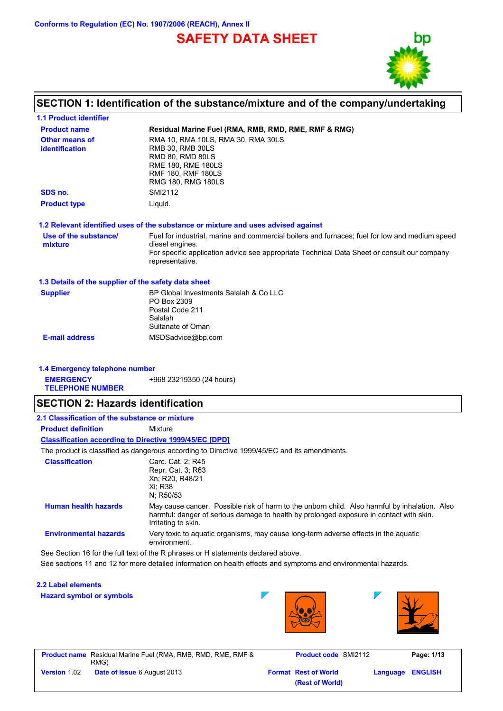**Conforms to Regulation (EC) No. 1907/2006 (REACH), Annex II**

# **SAFETY DATA SHEET**



# **SECTION 1: Identification of the substance/mixture and of the company/undertaking**

| 1.1 Product identifier                                        |                                                                                                                                                                                                                                     |
|---------------------------------------------------------------|-------------------------------------------------------------------------------------------------------------------------------------------------------------------------------------------------------------------------------------|
| <b>Product name</b>                                           | Residual Marine Fuel (RMA, RMB, RMD, RME, RMF & RMG)                                                                                                                                                                                |
| Other means of<br><b>identification</b>                       | RMA 10, RMA 10LS, RMA 30, RMA 30LS<br>RMB 30, RMB 30LS<br>RMD 80, RMD 80LS<br>RME 180, RME 180LS<br>RMF 180, RMF 180LS<br>RMG 180, RMG 180LS                                                                                        |
| SDS no.                                                       | <b>SMI2112</b>                                                                                                                                                                                                                      |
| <b>Product type</b>                                           | Liquid.                                                                                                                                                                                                                             |
|                                                               | 1.2 Relevant identified uses of the substance or mixture and uses advised against                                                                                                                                                   |
| Use of the substance/<br>mixture                              | Fuel for industrial, marine and commercial boilers and furnaces; fuel for low and medium speed<br>diesel engines.<br>For specific application advice see appropriate Technical Data Sheet or consult our company<br>representative. |
| 1.3 Details of the supplier of the safety data sheet          |                                                                                                                                                                                                                                     |
| <b>Supplier</b>                                               | BP Global Investments Salalah & Co LLC<br>PO Box 2309<br>Postal Code 211<br>Salalah                                                                                                                                                 |
|                                                               | Sultanate of Oman                                                                                                                                                                                                                   |
| <b>E-mail address</b>                                         | MSDSadvice@bp.com                                                                                                                                                                                                                   |
|                                                               |                                                                                                                                                                                                                                     |
| 1.4 Emergency telephone number                                |                                                                                                                                                                                                                                     |
| <b>EMERGENCY</b><br><b>TELEPHONE NUMBER</b>                   | +968 23219350 (24 hours)                                                                                                                                                                                                            |
| <b>SECTION 2: Hazards identification</b>                      |                                                                                                                                                                                                                                     |
| 2.1 Classification of the substance or mixture                |                                                                                                                                                                                                                                     |
| <b>Product definition</b>                                     | Mixture                                                                                                                                                                                                                             |
| <b>Classification according to Directive 1999/45/EC [DPD]</b> |                                                                                                                                                                                                                                     |
|                                                               | The product is classified as dangerous according to Directive 1999/45/EC and its amendments.                                                                                                                                        |
| <b>Classification</b>                                         | Carc. Cat. 2; R45<br>Repr. Cat. 3; R63<br>Xn; R20, R48/21<br>Xi; R38<br>N; R50/53                                                                                                                                                   |
| <b>Human health hazards</b>                                   | May cause cancer. Possible risk of harm to the unborn child. Also harmful by inhalation. Also<br>harmful: danger of serious damage to health by prolonged exposure in contact with skin.<br>Irritating to skin.                     |
| <b>Environmental hazards</b>                                  | Very toxic to aquatic organisms, may cause long-term adverse effects in the aquatic<br>environment.                                                                                                                                 |
|                                                               | See Section 16 for the full text of the R phrases or H statements declared above.                                                                                                                                                   |

| <b>2.2 Label elements</b>       |  |  |
|---------------------------------|--|--|
| <b>Hazard symbol or symbols</b> |  |  |





 $\overline{\phantom{a}}$ 

|                     | <b>Product name</b> Residual Marine Fuel (RMA, RMB, RMD, RME, RMF &<br>RMG) | <b>Product code SMI2112</b> |                  | Page: 1/13 |
|---------------------|-----------------------------------------------------------------------------|-----------------------------|------------------|------------|
| <b>Version 1.02</b> | <b>Date of issue 6 August 2013</b>                                          | <b>Format Rest of World</b> | Language ENGLISH |            |
|                     |                                                                             | (Rest of World)             |                  |            |

 $\overline{\phantom{a}}$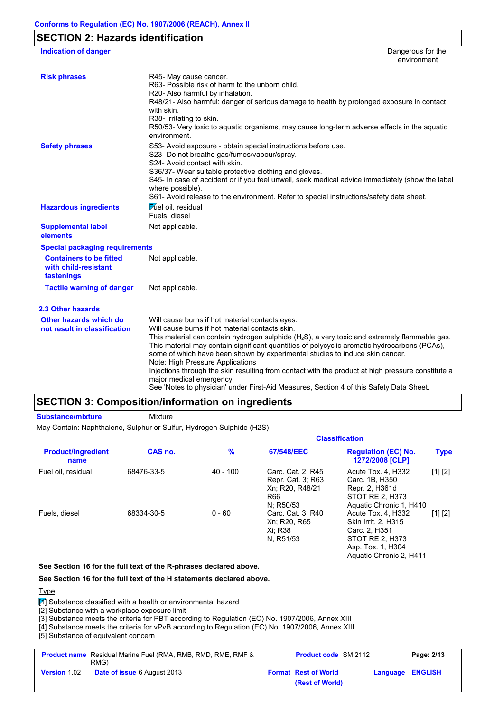| <b>SECTION 2: Hazards identification</b>                             |                                                                                                                                                                                                                                                                                                                                                                                                                                                                                                                                                                                                                                                        |
|----------------------------------------------------------------------|--------------------------------------------------------------------------------------------------------------------------------------------------------------------------------------------------------------------------------------------------------------------------------------------------------------------------------------------------------------------------------------------------------------------------------------------------------------------------------------------------------------------------------------------------------------------------------------------------------------------------------------------------------|
| <b>Indication of danger</b>                                          | Dangerous for the<br>environment                                                                                                                                                                                                                                                                                                                                                                                                                                                                                                                                                                                                                       |
| <b>Risk phrases</b>                                                  | R45- May cause cancer.<br>R63- Possible risk of harm to the unborn child.<br>R20- Also harmful by inhalation.<br>R48/21- Also harmful: danger of serious damage to health by prolonged exposure in contact<br>with skin.<br>R38- Irritating to skin.<br>R50/53- Very toxic to aquatic organisms, may cause long-term adverse effects in the aquatic<br>environment.                                                                                                                                                                                                                                                                                    |
| <b>Safety phrases</b>                                                | S53- Avoid exposure - obtain special instructions before use.<br>S23- Do not breathe gas/fumes/vapour/spray.<br>S24- Avoid contact with skin.<br>S36/37- Wear suitable protective clothing and gloves.<br>S45- In case of accident or if you feel unwell, seek medical advice immediately (show the label<br>where possible).<br>S61- Avoid release to the environment. Refer to special instructions/safety data sheet.                                                                                                                                                                                                                               |
| <b>Hazardous ingredients</b>                                         | <b>Fuel oil</b> , residual<br>Fuels, diesel                                                                                                                                                                                                                                                                                                                                                                                                                                                                                                                                                                                                            |
| <b>Supplemental label</b><br>elements                                | Not applicable.                                                                                                                                                                                                                                                                                                                                                                                                                                                                                                                                                                                                                                        |
| <b>Special packaging requirements</b>                                |                                                                                                                                                                                                                                                                                                                                                                                                                                                                                                                                                                                                                                                        |
| <b>Containers to be fitted</b><br>with child-resistant<br>fastenings | Not applicable.                                                                                                                                                                                                                                                                                                                                                                                                                                                                                                                                                                                                                                        |
| <b>Tactile warning of danger</b>                                     | Not applicable.                                                                                                                                                                                                                                                                                                                                                                                                                                                                                                                                                                                                                                        |
| 2.3 Other hazards                                                    |                                                                                                                                                                                                                                                                                                                                                                                                                                                                                                                                                                                                                                                        |
| Other hazards which do<br>not result in classification               | Will cause burns if hot material contacts eyes.<br>Will cause burns if hot material contacts skin.<br>This material can contain hydrogen sulphide $(H_2S)$ , a very toxic and extremely flammable gas.<br>This material may contain significant quantities of polycyclic aromatic hydrocarbons (PCAs),<br>some of which have been shown by experimental studies to induce skin cancer.<br>Note: High Pressure Applications<br>Injections through the skin resulting from contact with the product at high pressure constitute a<br>major medical emergency.<br>See 'Notes to physician' under First-Aid Measures, Section 4 of this Safety Data Sheet. |

# **SECTION 3: Composition/information on ingredients**

**Substance/mixture Mixture** 

May Contain: Naphthalene, Sulphur or Sulfur, Hydrogen Sulphide (H2S)

|                                   | <b>Classification</b> |               |                                                                               |                                                                                                                               |             |  |  |
|-----------------------------------|-----------------------|---------------|-------------------------------------------------------------------------------|-------------------------------------------------------------------------------------------------------------------------------|-------------|--|--|
| <b>Product/ingredient</b><br>name | CAS no.               | $\frac{9}{6}$ | 67/548/EEC                                                                    | <b>Regulation (EC) No.</b><br>1272/2008 [CLP]                                                                                 | <b>Type</b> |  |  |
| Fuel oil, residual                | 68476-33-5            | $40 - 100$    | Carc. Cat. 2; R45<br>Repr. Cat. 3; R63<br>Xn: R20, R48/21<br>R66<br>N: R50/53 | Acute Tox. 4, H332<br>Carc. 1B, H350<br>Repr. 2, H361d<br>STOT RE 2, H373<br>Aquatic Chronic 1, H410                          | [1] [2]     |  |  |
| Fuels, diesel                     | 68334-30-5            | $0 - 60$      | Carc. Cat. 3; R40<br>Xn; R20, R65<br>Xi: R38<br>N: R51/53                     | Acute Tox. 4, H332<br>Skin Irrit. 2, H315<br>Carc. 2, H351<br>STOT RE 2, H373<br>Asp. Tox. 1, H304<br>Aquatic Chronic 2. H411 | [1] [2]     |  |  |

**See Section 16 for the full text of the R-phrases declared above.**

#### **See Section 16 for the full text of the H statements declared above.**

**Type** 

 $\boxed{1}$  Substance classified with a health or environmental hazard

[2] Substance with a workplace exposure limit

[3] Substance meets the criteria for PBT according to Regulation (EC) No. 1907/2006, Annex XIII

[4] Substance meets the criteria for vPvB according to Regulation (EC) No. 1907/2006, Annex XIII

[5] Substance of equivalent concern

| <b>Product name</b> Residual Marine Fuel (RMA, RMB, RMD, RME, RMF &<br>RMG) | <b>Product code SMI2112</b>                    | Page: 2/13              |
|-----------------------------------------------------------------------------|------------------------------------------------|-------------------------|
| <b>Date of issue 6 August 2013</b><br><b>Version 1.02</b>                   | <b>Format Rest of World</b><br>(Rest of World) | <b>Language ENGLISH</b> |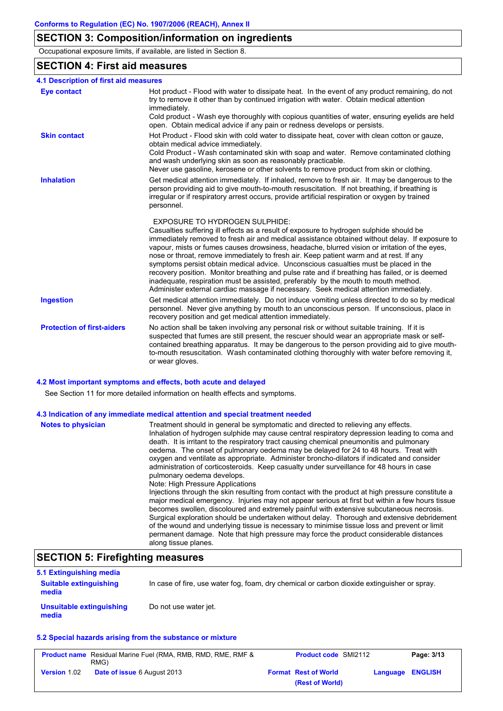# **SECTION 3: Composition/information on ingredients**

Occupational exposure limits, if available, are listed in Section 8.

# **SECTION 4: First aid measures**

| 4.1 Description of first aid measures |                                                                                                                                                                                                                                                                                                                                                                                                                                                                                                                                                                                                                                                                                                                                                                                                       |
|---------------------------------------|-------------------------------------------------------------------------------------------------------------------------------------------------------------------------------------------------------------------------------------------------------------------------------------------------------------------------------------------------------------------------------------------------------------------------------------------------------------------------------------------------------------------------------------------------------------------------------------------------------------------------------------------------------------------------------------------------------------------------------------------------------------------------------------------------------|
| <b>Eye contact</b>                    | Hot product - Flood with water to dissipate heat. In the event of any product remaining, do not<br>try to remove it other than by continued irrigation with water. Obtain medical attention<br>immediately.<br>Cold product - Wash eye thoroughly with copious quantities of water, ensuring eyelids are held<br>open. Obtain medical advice if any pain or redness develops or persists.                                                                                                                                                                                                                                                                                                                                                                                                             |
| <b>Skin contact</b>                   | Hot Product - Flood skin with cold water to dissipate heat, cover with clean cotton or gauze,<br>obtain medical advice immediately.<br>Cold Product - Wash contaminated skin with soap and water. Remove contaminated clothing<br>and wash underlying skin as soon as reasonably practicable.<br>Never use gasoline, kerosene or other solvents to remove product from skin or clothing.                                                                                                                                                                                                                                                                                                                                                                                                              |
| <b>Inhalation</b>                     | Get medical attention immediately. If inhaled, remove to fresh air. It may be dangerous to the<br>person providing aid to give mouth-to-mouth resuscitation. If not breathing, if breathing is<br>irregular or if respiratory arrest occurs, provide artificial respiration or oxygen by trained<br>personnel.                                                                                                                                                                                                                                                                                                                                                                                                                                                                                        |
|                                       | <b>EXPOSURE TO HYDROGEN SULPHIDE:</b><br>Casualties suffering ill effects as a result of exposure to hydrogen sulphide should be<br>immediately removed to fresh air and medical assistance obtained without delay. If exposure to<br>vapour, mists or fumes causes drowsiness, headache, blurred vision or irritation of the eyes,<br>nose or throat, remove immediately to fresh air. Keep patient warm and at rest. If any<br>symptoms persist obtain medical advice. Unconscious casualties must be placed in the<br>recovery position. Monitor breathing and pulse rate and if breathing has failed, or is deemed<br>inadequate, respiration must be assisted, preferably by the mouth to mouth method.<br>Administer external cardiac massage if necessary. Seek medical attention immediately. |
| <b>Ingestion</b>                      | Get medical attention immediately. Do not induce vomiting unless directed to do so by medical<br>personnel. Never give anything by mouth to an unconscious person. If unconscious, place in<br>recovery position and get medical attention immediately.                                                                                                                                                                                                                                                                                                                                                                                                                                                                                                                                               |
| <b>Protection of first-aiders</b>     | No action shall be taken involving any personal risk or without suitable training. If it is<br>suspected that fumes are still present, the rescuer should wear an appropriate mask or self-<br>contained breathing apparatus. It may be dangerous to the person providing aid to give mouth-<br>to-mouth resuscitation. Wash contaminated clothing thoroughly with water before removing it,<br>or wear gloves.                                                                                                                                                                                                                                                                                                                                                                                       |

#### **4.2 Most important symptoms and effects, both acute and delayed**

See Section 11 for more detailed information on health effects and symptoms.

#### **4.3 Indication of any immediate medical attention and special treatment needed**

| <b>Notes to physician</b> | Treatment should in general be symptomatic and directed to relieving any effects.<br>Inhalation of hydrogen sulphide may cause central respiratory depression leading to coma and<br>death. It is irritant to the respiratory tract causing chemical pneumonitis and pulmonary<br>oedema. The onset of pulmonary oedema may be delayed for 24 to 48 hours. Treat with<br>oxygen and ventilate as appropriate. Administer broncho-dilators if indicated and consider<br>administration of corticosteroids. Keep casualty under surveillance for 48 hours in case<br>pulmonary oedema develops.<br>Note: High Pressure Applications<br>Injections through the skin resulting from contact with the product at high pressure constitute a<br>major medical emergency. Injuries may not appear serious at first but within a few hours tissue<br>becomes swollen, discoloured and extremely painful with extensive subcutaneous necrosis.<br>Surgical exploration should be undertaken without delay. Thorough and extensive debridement<br>of the wound and underlying tissue is necessary to minimise tissue loss and prevent or limit<br>permanent damage. Note that high pressure may force the product considerable distances<br>along tissue planes. |
|---------------------------|--------------------------------------------------------------------------------------------------------------------------------------------------------------------------------------------------------------------------------------------------------------------------------------------------------------------------------------------------------------------------------------------------------------------------------------------------------------------------------------------------------------------------------------------------------------------------------------------------------------------------------------------------------------------------------------------------------------------------------------------------------------------------------------------------------------------------------------------------------------------------------------------------------------------------------------------------------------------------------------------------------------------------------------------------------------------------------------------------------------------------------------------------------------------------------------------------------------------------------------------------------|
|---------------------------|--------------------------------------------------------------------------------------------------------------------------------------------------------------------------------------------------------------------------------------------------------------------------------------------------------------------------------------------------------------------------------------------------------------------------------------------------------------------------------------------------------------------------------------------------------------------------------------------------------------------------------------------------------------------------------------------------------------------------------------------------------------------------------------------------------------------------------------------------------------------------------------------------------------------------------------------------------------------------------------------------------------------------------------------------------------------------------------------------------------------------------------------------------------------------------------------------------------------------------------------------------|

# **SECTION 5: Firefighting measures**

| 5.1 Extinguishing media                |                                                                                             |
|----------------------------------------|---------------------------------------------------------------------------------------------|
| <b>Suitable extinguishing</b><br>media | In case of fire, use water fog, foam, dry chemical or carbon dioxide extinguisher or spray. |
| Unsuitable extinguishing<br>media      | Do not use water jet.                                                                       |

#### **5.2 Special hazards arising from the substance or mixture**

|                     | <b>Product name</b> Residual Marine Fuel (RMA, RMB, RMD, RME, RMF &<br>RMG) | <b>Product code SMI2112</b>                    |          | Page: 3/13     |
|---------------------|-----------------------------------------------------------------------------|------------------------------------------------|----------|----------------|
| <b>Version 1.02</b> | <b>Date of issue 6 August 2013</b>                                          | <b>Format Rest of World</b><br>(Rest of World) | Language | <b>ENGLISH</b> |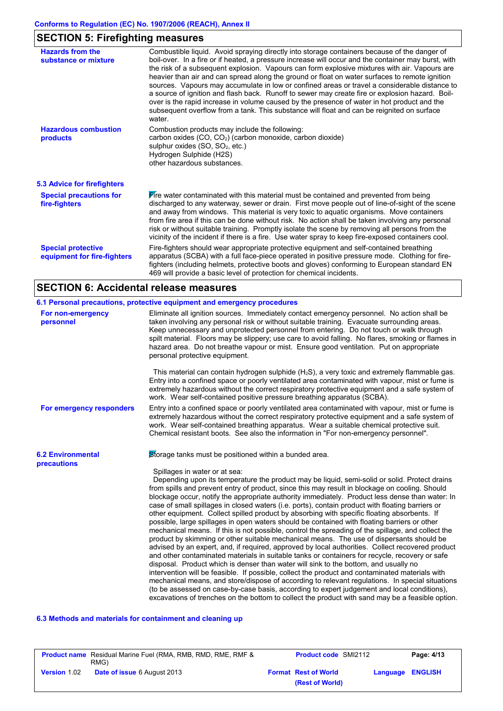#### **SECTION 5: Firefighting measures**

| <b>Hazards from the</b><br>substance or mixture          | Combustible liquid. Avoid spraying directly into storage containers because of the danger of<br>boil-over. In a fire or if heated, a pressure increase will occur and the container may burst, with<br>the risk of a subsequent explosion. Vapours can form explosive mixtures with air. Vapours are<br>heavier than air and can spread along the ground or float on water surfaces to remote ignition<br>sources. Vapours may accumulate in low or confined areas or travel a considerable distance to<br>a source of ignition and flash back. Runoff to sewer may create fire or explosion hazard. Boil-<br>over is the rapid increase in volume caused by the presence of water in hot product and the<br>subsequent overflow from a tank. This substance will float and can be reignited on surface<br>water. |
|----------------------------------------------------------|-------------------------------------------------------------------------------------------------------------------------------------------------------------------------------------------------------------------------------------------------------------------------------------------------------------------------------------------------------------------------------------------------------------------------------------------------------------------------------------------------------------------------------------------------------------------------------------------------------------------------------------------------------------------------------------------------------------------------------------------------------------------------------------------------------------------|
| <b>Hazardous combustion</b><br>products                  | Combustion products may include the following:<br>carbon oxides (CO, CO <sub>2</sub> ) (carbon monoxide, carbon dioxide)<br>sulphur oxides (SO, SO <sub>2</sub> , etc.)<br>Hydrogen Sulphide (H2S)<br>other hazardous substances.                                                                                                                                                                                                                                                                                                                                                                                                                                                                                                                                                                                 |
| 5.3 Advice for firefighters                              |                                                                                                                                                                                                                                                                                                                                                                                                                                                                                                                                                                                                                                                                                                                                                                                                                   |
| <b>Special precautions for</b><br>fire-fighters          | $\blacktriangleright$ fre water contaminated with this material must be contained and prevented from being<br>discharged to any waterway, sewer or drain. First move people out of line-of-sight of the scene<br>and away from windows. This material is very toxic to aquatic organisms. Move containers<br>from fire area if this can be done without risk. No action shall be taken involving any personal<br>risk or without suitable training. Promptly isolate the scene by removing all persons from the<br>vicinity of the incident if there is a fire. Use water spray to keep fire-exposed containers cool.                                                                                                                                                                                             |
| <b>Special protective</b><br>equipment for fire-fighters | Fire-fighters should wear appropriate protective equipment and self-contained breathing<br>apparatus (SCBA) with a full face-piece operated in positive pressure mode. Clothing for fire-<br>fighters (including helmets, protective boots and gloves) conforming to European standard EN<br>469 will provide a basic level of protection for chemical incidents.                                                                                                                                                                                                                                                                                                                                                                                                                                                 |

#### **SECTION 6: Accidental release measures**

#### **6.2 Environmental precautions** Storage tanks must be positioned within a bunded area. Spillages in water or at sea: Depending upon its temperature the product may be liquid, semi-solid or solid. Protect drains from spills and prevent entry of product, since this may result in blockage on cooling. Should blockage occur, notify the appropriate authority immediately. Product less dense than water: In case of small spillages in closed waters (i.e. ports), contain product with floating barriers or other equipment. Collect spilled product by absorbing with specific floating absorbents. If possible, large spillages in open waters should be contained with floating barriers or other mechanical means. If this is not possible, control the spreading of the spillage, and collect the product by skimming or other suitable mechanical means. The use of dispersants should be advised by an expert, and, if required, approved by local authorities. Collect recovered product and other contaminated materials in suitable tanks or containers for recycle, recovery or safe disposal. Product which is denser than water will sink to the bottom, and usually no intervention will be feasible. If possible, collect the product and contaminated materials with mechanical means, and store/dispose of according to relevant regulations. In special situations (to be assessed on case-by-case basis, according to expert judgement and local conditions), excavations of trenches on the bottom to collect the product with sand may be a feasible option. **6.1 Personal precautions, protective equipment and emergency procedures For non-emergency personnel For emergency responders** Eliminate all ignition sources. Immediately contact emergency personnel. No action shall be taken involving any personal risk or without suitable training. Evacuate surrounding areas. Keep unnecessary and unprotected personnel from entering. Do not touch or walk through spilt material. Floors may be slippery; use care to avoid falling. No flares, smoking or flames in hazard area. Do not breathe vapour or mist. Ensure good ventilation. Put on appropriate personal protective equipment. This material can contain hydrogen sulphide  $(H_2S)$ , a very toxic and extremely flammable gas. Entry into a confined space or poorly ventilated area contaminated with vapour, mist or fume is extremely hazardous without the correct respiratory protective equipment and a safe system of work. Wear self-contained positive pressure breathing apparatus (SCBA). Entry into a confined space or poorly ventilated area contaminated with vapour, mist or fume is extremely hazardous without the correct respiratory protective equipment and a safe system of work. Wear self-contained breathing apparatus. Wear a suitable chemical protective suit. Chemical resistant boots. See also the information in "For non-emergency personnel".

#### **6.3 Methods and materials for containment and cleaning up**

|                     | <b>Product name</b> Residual Marine Fuel (RMA, RMB, RMD, RME, RMF &<br>RMG) | <b>Product code SMI2112</b>                    |                         | Page: 4/13 |
|---------------------|-----------------------------------------------------------------------------|------------------------------------------------|-------------------------|------------|
| <b>Version 1.02</b> | <b>Date of issue 6 August 2013</b>                                          | <b>Format Rest of World</b><br>(Rest of World) | <b>Language ENGLISH</b> |            |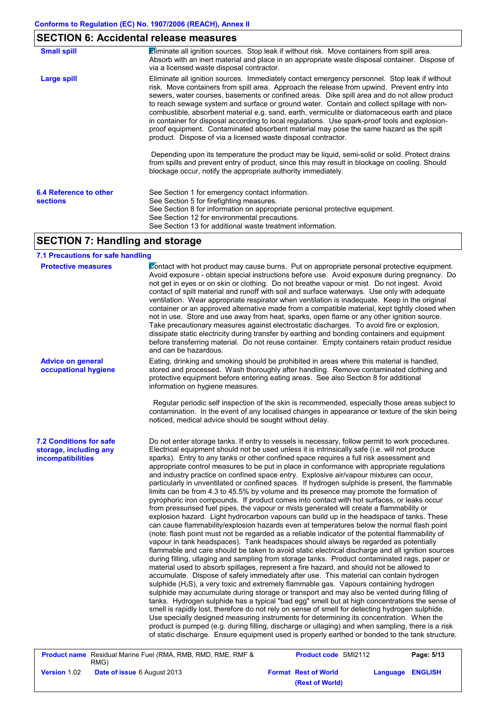# **SECTION 6: Accidental release measures**

| <b>Small spill</b>                        | <b>Eliminate all ignition sources.</b> Stop leak if without risk. Move containers from spill area.<br>Absorb with an inert material and place in an appropriate waste disposal container. Dispose of<br>via a licensed waste disposal contractor.                                                                                                                                                                                                                                                                                                                                                                                                                                                                                                        |
|-------------------------------------------|----------------------------------------------------------------------------------------------------------------------------------------------------------------------------------------------------------------------------------------------------------------------------------------------------------------------------------------------------------------------------------------------------------------------------------------------------------------------------------------------------------------------------------------------------------------------------------------------------------------------------------------------------------------------------------------------------------------------------------------------------------|
| Large spill                               | Eliminate all ignition sources. Immediately contact emergency personnel. Stop leak if without<br>risk. Move containers from spill area. Approach the release from upwind. Prevent entry into<br>sewers, water courses, basements or confined areas. Dike spill area and do not allow product<br>to reach sewage system and surface or ground water. Contain and collect spillage with non-<br>combustible, absorbent material e.g. sand, earth, vermiculite or diatomaceous earth and place<br>in container for disposal according to local regulations. Use spark-proof tools and explosion-<br>proof equipment. Contaminated absorbent material may pose the same hazard as the spilt<br>product. Dispose of via a licensed waste disposal contractor. |
|                                           | Depending upon its temperature the product may be liquid, semi-solid or solid. Protect drains<br>from spills and prevent entry of product, since this may result in blockage on cooling. Should<br>blockage occur, notify the appropriate authority immediately.                                                                                                                                                                                                                                                                                                                                                                                                                                                                                         |
| 6.4 Reference to other<br><b>sections</b> | See Section 1 for emergency contact information.<br>See Section 5 for firefighting measures.<br>See Section 8 for information on appropriate personal protective equipment.<br>See Section 12 for environmental precautions.<br>See Section 13 for additional waste treatment information.                                                                                                                                                                                                                                                                                                                                                                                                                                                               |

# **SECTION 7: Handling and storage**

## **7.1 Precautions for safe handling**

| <b>Protective measures</b>                                                           | Contact with hot product may cause burns. Put on appropriate personal protective equipment.<br>Avoid exposure - obtain special instructions before use. Avoid exposure during pregnancy. Do<br>not get in eyes or on skin or clothing. Do not breathe vapour or mist. Do not ingest. Avoid<br>contact of spilt material and runoff with soil and surface waterways. Use only with adequate<br>ventilation. Wear appropriate respirator when ventilation is inadequate. Keep in the original<br>container or an approved alternative made from a compatible material, kept tightly closed when<br>not in use. Store and use away from heat, sparks, open flame or any other ignition source.<br>Take precautionary measures against electrostatic discharges. To avoid fire or explosion,<br>dissipate static electricity during transfer by earthing and bonding containers and equipment<br>before transferring material. Do not reuse container. Empty containers retain product residue<br>and can be hazardous.                                                                                                                                                                                                                                                                                                                                                                                                                                                                                                                                                                                                                                                                                                                                                                                                                                                                                                                                                                                                                                                                                                                                                                                                                                                                                                                                                     |
|--------------------------------------------------------------------------------------|-------------------------------------------------------------------------------------------------------------------------------------------------------------------------------------------------------------------------------------------------------------------------------------------------------------------------------------------------------------------------------------------------------------------------------------------------------------------------------------------------------------------------------------------------------------------------------------------------------------------------------------------------------------------------------------------------------------------------------------------------------------------------------------------------------------------------------------------------------------------------------------------------------------------------------------------------------------------------------------------------------------------------------------------------------------------------------------------------------------------------------------------------------------------------------------------------------------------------------------------------------------------------------------------------------------------------------------------------------------------------------------------------------------------------------------------------------------------------------------------------------------------------------------------------------------------------------------------------------------------------------------------------------------------------------------------------------------------------------------------------------------------------------------------------------------------------------------------------------------------------------------------------------------------------------------------------------------------------------------------------------------------------------------------------------------------------------------------------------------------------------------------------------------------------------------------------------------------------------------------------------------------------------------------------------------------------------------------------------------------------|
| <b>Advice on general</b><br>occupational hygiene                                     | Eating, drinking and smoking should be prohibited in areas where this material is handled,<br>stored and processed. Wash thoroughly after handling. Remove contaminated clothing and<br>protective equipment before entering eating areas. See also Section 8 for additional<br>information on hygiene measures.                                                                                                                                                                                                                                                                                                                                                                                                                                                                                                                                                                                                                                                                                                                                                                                                                                                                                                                                                                                                                                                                                                                                                                                                                                                                                                                                                                                                                                                                                                                                                                                                                                                                                                                                                                                                                                                                                                                                                                                                                                                        |
|                                                                                      | Regular periodic self inspection of the skin is recommended, especially those areas subject to<br>contamination. In the event of any localised changes in appearance or texture of the skin being<br>noticed, medical advice should be sought without delay.                                                                                                                                                                                                                                                                                                                                                                                                                                                                                                                                                                                                                                                                                                                                                                                                                                                                                                                                                                                                                                                                                                                                                                                                                                                                                                                                                                                                                                                                                                                                                                                                                                                                                                                                                                                                                                                                                                                                                                                                                                                                                                            |
| <b>7.2 Conditions for safe</b><br>storage, including any<br><b>incompatibilities</b> | Do not enter storage tanks. If entry to vessels is necessary, follow permit to work procedures.<br>Electrical equipment should not be used unless it is intrinsically safe (i.e. will not produce<br>sparks). Entry to any tanks or other confined space requires a full risk assessment and<br>appropriate control measures to be put in place in conformance with appropriate regulations<br>and industry practice on confined space entry. Explosive air/vapour mixtures can occur,<br>particularly in unventilated or confined spaces. If hydrogen sulphide is present, the flammable<br>limits can be from 4.3 to 45.5% by volume and its presence may promote the formation of<br>pyrophoric iron compounds. If product comes into contact with hot surfaces, or leaks occur<br>from pressurised fuel pipes, the vapour or mists generated will create a flammability or<br>explosion hazard. Light hydrocarbon vapours can build up in the headspace of tanks. These<br>can cause flammability/explosion hazards even at temperatures below the normal flash point<br>(note: flash point must not be regarded as a reliable indicator of the potential flammability of<br>vapour in tank headspaces). Tank headspaces should always be regarded as potentially<br>flammable and care should be taken to avoid static electrical discharge and all ignition sources<br>during filling, ullaging and sampling from storage tanks. Product contaminated rags, paper or<br>material used to absorb spillages, represent a fire hazard, and should not be allowed to<br>accumulate. Dispose of safely immediately after use. This material can contain hydrogen<br>sulphide $(H_2S)$ , a very toxic and extremely flammable gas. Vapours containing hydrogen<br>sulphide may accumulate during storage or transport and may also be vented during filling of<br>tanks. Hydrogen sulphide has a typical "bad egg" smell but at high concentrations the sense of<br>smell is rapidly lost, therefore do not rely on sense of smell for detecting hydrogen sulphide.<br>Use specially designed measuring instruments for determining its concentration. When the<br>product is pumped (e.g. during filling, discharge or ullaging) and when sampling, there is a risk<br>of static discharge. Ensure equipment used is properly earthed or bonded to the tank structure. |

|                     | <b>Product name</b> Residual Marine Fuel (RMA, RMB, RMD, RME, RMF & | <b>Product code SMI2112</b> |          | Page: 5/13     |
|---------------------|---------------------------------------------------------------------|-----------------------------|----------|----------------|
|                     | RMG)                                                                |                             |          |                |
| <b>Version 1.02</b> | <b>Date of issue 6 August 2013</b>                                  | <b>Format Rest of World</b> | Language | <b>ENGLISH</b> |
|                     |                                                                     | (Rest of World)             |          |                |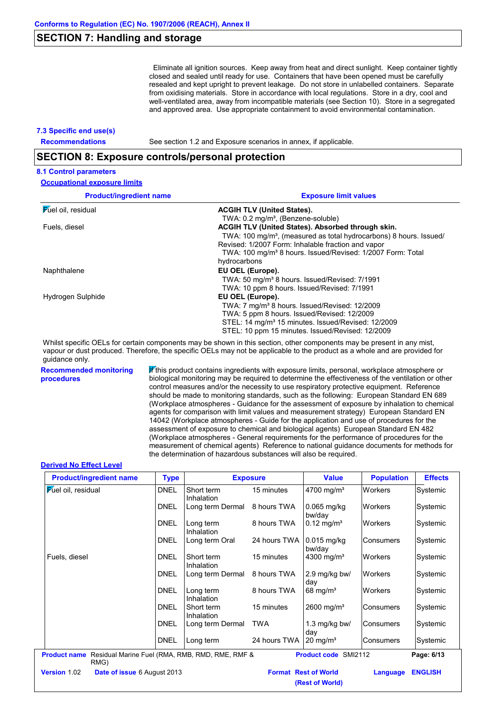## **SECTION 7: Handling and storage**

 Eliminate all ignition sources. Keep away from heat and direct sunlight. Keep container tightly closed and sealed until ready for use. Containers that have been opened must be carefully resealed and kept upright to prevent leakage. Do not store in unlabelled containers. Separate from oxidising materials. Store in accordance with local regulations. Store in a dry, cool and well-ventilated area, away from incompatible materials (see Section 10). Store in a segregated and approved area. Use appropriate containment to avoid environmental contamination.

#### **7.3 Specific end use(s)**

**Recommendations** See section 1.2 and Exposure scenarios in annex, if applicable.

#### **SECTION 8: Exposure controls/personal protection**

#### **8.1 Control parameters**

**Occupational exposure limits**

| <b>Product/ingredient name</b>   | <b>Exposure limit values</b>                                                   |  |  |
|----------------------------------|--------------------------------------------------------------------------------|--|--|
| $\overline{F}$ uel oil, residual | <b>ACGIH TLV (United States).</b>                                              |  |  |
|                                  | TWA: 0.2 mg/m <sup>3</sup> , (Benzene-soluble)                                 |  |  |
| Fuels, diesel                    | ACGIH TLV (United States). Absorbed through skin.                              |  |  |
|                                  | TWA: 100 mg/m <sup>3</sup> , (measured as total hydrocarbons) 8 hours. Issued/ |  |  |
|                                  | Revised: 1/2007 Form: Inhalable fraction and vapor                             |  |  |
|                                  | TWA: 100 mg/m <sup>3</sup> 8 hours. Issued/Revised: 1/2007 Form: Total         |  |  |
|                                  | hydrocarbons                                                                   |  |  |
| Naphthalene                      | EU OEL (Europe).                                                               |  |  |
|                                  | TWA: 50 mg/m <sup>3</sup> 8 hours. Issued/Revised: 7/1991                      |  |  |
|                                  | TWA: 10 ppm 8 hours. Issued/Revised: 7/1991                                    |  |  |
| Hydrogen Sulphide                | EU OEL (Europe).                                                               |  |  |
|                                  | TWA: 7 mg/m <sup>3</sup> 8 hours. Issued/Revised: 12/2009                      |  |  |
|                                  | TWA: 5 ppm 8 hours. Issued/Revised: 12/2009                                    |  |  |
|                                  | STEL: 14 mg/m <sup>3</sup> 15 minutes. Issued/Revised: 12/2009                 |  |  |
|                                  | STEL: 10 ppm 15 minutes. Issued/Revised: 12/2009                               |  |  |

Whilst specific OELs for certain components may be shown in this section, other components may be present in any mist, vapour or dust produced. Therefore, the specific OELs may not be applicable to the product as a whole and are provided for guidance only.

**Recommended monitoring procedures**

 $\mathbf$   $\mathbf F$  this product contains ingredients with exposure limits, personal, workplace atmosphere or biological monitoring may be required to determine the effectiveness of the ventilation or other control measures and/or the necessity to use respiratory protective equipment. Reference should be made to monitoring standards, such as the following: European Standard EN 689 (Workplace atmospheres - Guidance for the assessment of exposure by inhalation to chemical agents for comparison with limit values and measurement strategy) European Standard EN 14042 (Workplace atmospheres - Guide for the application and use of procedures for the assessment of exposure to chemical and biological agents) European Standard EN 482 (Workplace atmospheres - General requirements for the performance of procedures for the measurement of chemical agents) Reference to national guidance documents for methods for the determination of hazardous substances will also be required.

#### **Derived No Effect Level**

| <b>Product/ingredient name</b>              | <b>Type</b> |                                                 | <b>Exposure</b> | <b>Value</b>                | <b>Population</b> | <b>Effects</b> |
|---------------------------------------------|-------------|-------------------------------------------------|-----------------|-----------------------------|-------------------|----------------|
| <b>Fuel oil</b> , residual                  | <b>DNEL</b> | Short term<br>Inhalation                        | 15 minutes      | 4700 mg/m <sup>3</sup>      | <b>Workers</b>    | Systemic       |
|                                             | <b>DNEL</b> | Long term Dermal                                | 8 hours TWA     | $0.065$ mg/kg<br>bw/day     | Workers           | Systemic       |
|                                             | <b>DNEL</b> | Long term<br>Inhalation                         | 8 hours TWA     | $0.12 \text{ mg/m}^3$       | Workers           | Systemic       |
|                                             | <b>DNEL</b> | Long term Oral                                  | 24 hours TWA    | $0.015$ mg/kg<br>bw/day     | Consumers         | Systemic       |
| Fuels, diesel                               | <b>DNEL</b> | Short term<br>Inhalation                        | 15 minutes      | 4300 mg/m <sup>3</sup>      | <b>Workers</b>    | Systemic       |
|                                             | <b>DNEL</b> | Long term Dermal                                | 8 hours TWA     | 2.9 mg/kg bw/<br>day        | <b>Workers</b>    | Systemic       |
|                                             | <b>DNEL</b> | Long term<br>Inhalation                         | 8 hours TWA     | $68 \text{ mg/m}^3$         | <b>Workers</b>    | Systemic       |
|                                             | <b>DNEL</b> | Short term<br>Inhalation                        | 15 minutes      | $2600 \; \text{mg/m}^3$     | Consumers         | Systemic       |
|                                             | <b>DNEL</b> | Long term Dermal                                | TWA             | 1.3 mg/kg bw/<br>day        | <b>Consumers</b>  | Systemic       |
|                                             | <b>DNEL</b> | Long term                                       | 24 hours TWA    | $20 \text{ mg/m}^3$         | Consumers         | Systemic       |
| <b>Product name</b><br>RMG)                 |             | Residual Marine Fuel (RMA, RMB, RMD, RME, RMF & |                 | Product code SMI2112        |                   | Page: 6/13     |
| Version 1.02<br>Date of issue 6 August 2013 |             |                                                 |                 | <b>Format Rest of World</b> | Language          | <b>ENGLISH</b> |
|                                             |             |                                                 |                 | (Rest of World)             |                   |                |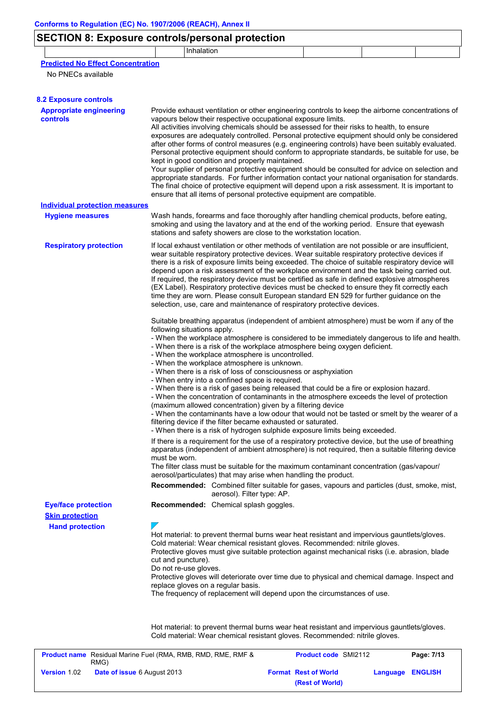|                                                   | <b>SECTION 8: Exposure controls/personal protection</b>                                                                                                                                                                                                                                                                                                                                                                                                                                                                                                                                                                                                                                                                                                                                                                                                                                                                                                                                                                                                                                                                                                                                                                                               |  |  |
|---------------------------------------------------|-------------------------------------------------------------------------------------------------------------------------------------------------------------------------------------------------------------------------------------------------------------------------------------------------------------------------------------------------------------------------------------------------------------------------------------------------------------------------------------------------------------------------------------------------------------------------------------------------------------------------------------------------------------------------------------------------------------------------------------------------------------------------------------------------------------------------------------------------------------------------------------------------------------------------------------------------------------------------------------------------------------------------------------------------------------------------------------------------------------------------------------------------------------------------------------------------------------------------------------------------------|--|--|
|                                                   | Inhalation                                                                                                                                                                                                                                                                                                                                                                                                                                                                                                                                                                                                                                                                                                                                                                                                                                                                                                                                                                                                                                                                                                                                                                                                                                            |  |  |
| <b>Predicted No Effect Concentration</b>          |                                                                                                                                                                                                                                                                                                                                                                                                                                                                                                                                                                                                                                                                                                                                                                                                                                                                                                                                                                                                                                                                                                                                                                                                                                                       |  |  |
| No PNECs available                                |                                                                                                                                                                                                                                                                                                                                                                                                                                                                                                                                                                                                                                                                                                                                                                                                                                                                                                                                                                                                                                                                                                                                                                                                                                                       |  |  |
|                                                   |                                                                                                                                                                                                                                                                                                                                                                                                                                                                                                                                                                                                                                                                                                                                                                                                                                                                                                                                                                                                                                                                                                                                                                                                                                                       |  |  |
| <b>8.2 Exposure controls</b>                      |                                                                                                                                                                                                                                                                                                                                                                                                                                                                                                                                                                                                                                                                                                                                                                                                                                                                                                                                                                                                                                                                                                                                                                                                                                                       |  |  |
| <b>Appropriate engineering</b><br><b>controls</b> | Provide exhaust ventilation or other engineering controls to keep the airborne concentrations of<br>vapours below their respective occupational exposure limits.<br>All activities involving chemicals should be assessed for their risks to health, to ensure<br>exposures are adequately controlled. Personal protective equipment should only be considered<br>after other forms of control measures (e.g. engineering controls) have been suitably evaluated.<br>Personal protective equipment should conform to appropriate standards, be suitable for use, be<br>kept in good condition and properly maintained.<br>Your supplier of personal protective equipment should be consulted for advice on selection and<br>appropriate standards. For further information contact your national organisation for standards.<br>The final choice of protective equipment will depend upon a risk assessment. It is important to<br>ensure that all items of personal protective equipment are compatible.                                                                                                                                                                                                                                             |  |  |
| <b>Individual protection measures</b>             |                                                                                                                                                                                                                                                                                                                                                                                                                                                                                                                                                                                                                                                                                                                                                                                                                                                                                                                                                                                                                                                                                                                                                                                                                                                       |  |  |
| <b>Hygiene measures</b>                           | Wash hands, forearms and face thoroughly after handling chemical products, before eating,<br>smoking and using the lavatory and at the end of the working period. Ensure that eyewash<br>stations and safety showers are close to the workstation location.                                                                                                                                                                                                                                                                                                                                                                                                                                                                                                                                                                                                                                                                                                                                                                                                                                                                                                                                                                                           |  |  |
| <b>Respiratory protection</b>                     | If local exhaust ventilation or other methods of ventilation are not possible or are insufficient,<br>wear suitable respiratory protective devices. Wear suitable respiratory protective devices if<br>there is a risk of exposure limits being exceeded. The choice of suitable respiratory device will<br>depend upon a risk assessment of the workplace environment and the task being carried out.<br>If required, the respiratory device must be certified as safe in defined explosive atmospheres<br>(EX Label). Respiratory protective devices must be checked to ensure they fit correctly each<br>time they are worn. Please consult European standard EN 529 for further guidance on the<br>selection, use, care and maintenance of respiratory protective devices.                                                                                                                                                                                                                                                                                                                                                                                                                                                                        |  |  |
|                                                   | Suitable breathing apparatus (independent of ambient atmosphere) must be worn if any of the<br>following situations apply.<br>- When the workplace atmosphere is considered to be immediately dangerous to life and health.<br>- When there is a risk of the workplace atmosphere being oxygen deficient.<br>- When the workplace atmosphere is uncontrolled.<br>- When the workplace atmosphere is unknown.<br>- When there is a risk of loss of consciousness or asphyxiation<br>- When entry into a confined space is required.<br>- When there is a risk of gases being released that could be a fire or explosion hazard.<br>- When the concentration of contaminants in the atmosphere exceeds the level of protection<br>(maximum allowed concentration) given by a filtering device<br>- When the contaminants have a low odour that would not be tasted or smelt by the wearer of a<br>filtering device if the filter became exhausted or saturated.<br>- When there is a risk of hydrogen sulphide exposure limits being exceeded.<br>If there is a requirement for the use of a respiratory protective device, but the use of breathing<br>apparatus (independent of ambient atmosphere) is not required, then a suitable filtering device |  |  |
|                                                   | must be worn.<br>The filter class must be suitable for the maximum contaminant concentration (gas/vapour/<br>aerosol/particulates) that may arise when handling the product.                                                                                                                                                                                                                                                                                                                                                                                                                                                                                                                                                                                                                                                                                                                                                                                                                                                                                                                                                                                                                                                                          |  |  |
|                                                   | Recommended: Combined filter suitable for gases, vapours and particles (dust, smoke, mist,<br>aerosol). Filter type: AP.                                                                                                                                                                                                                                                                                                                                                                                                                                                                                                                                                                                                                                                                                                                                                                                                                                                                                                                                                                                                                                                                                                                              |  |  |
| <b>Eye/face protection</b>                        | Recommended: Chemical splash goggles.                                                                                                                                                                                                                                                                                                                                                                                                                                                                                                                                                                                                                                                                                                                                                                                                                                                                                                                                                                                                                                                                                                                                                                                                                 |  |  |
| <b>Skin protection</b>                            |                                                                                                                                                                                                                                                                                                                                                                                                                                                                                                                                                                                                                                                                                                                                                                                                                                                                                                                                                                                                                                                                                                                                                                                                                                                       |  |  |
| <b>Hand protection</b>                            | Hot material: to prevent thermal burns wear heat resistant and impervious gauntlets/gloves.<br>Cold material: Wear chemical resistant gloves. Recommended: nitrile gloves.<br>Protective gloves must give suitable protection against mechanical risks (i.e. abrasion, blade<br>cut and puncture).<br>Do not re-use gloves.<br>Protective gloves will deteriorate over time due to physical and chemical damage. Inspect and<br>replace gloves on a regular basis.<br>The frequency of replacement will depend upon the circumstances of use.                                                                                                                                                                                                                                                                                                                                                                                                                                                                                                                                                                                                                                                                                                         |  |  |
|                                                   | Hot material: to prevent thermal burns wear heat resistant and impervious gauntlets/gloves.<br>Cold material: Wear chemical resistant gloves. Recommended: nitrile gloves.                                                                                                                                                                                                                                                                                                                                                                                                                                                                                                                                                                                                                                                                                                                                                                                                                                                                                                                                                                                                                                                                            |  |  |

|                     | <b>Product name</b> Residual Marine Fuel (RMA, RMB, RMD, RME, RMF &<br>RMG) | <b>Product code SMI2112</b>                    |                         | Page: 7/13 |
|---------------------|-----------------------------------------------------------------------------|------------------------------------------------|-------------------------|------------|
| <b>Version 1.02</b> | <b>Date of issue 6 August 2013</b>                                          | <b>Format Rest of World</b><br>(Rest of World) | <b>Language ENGLISH</b> |            |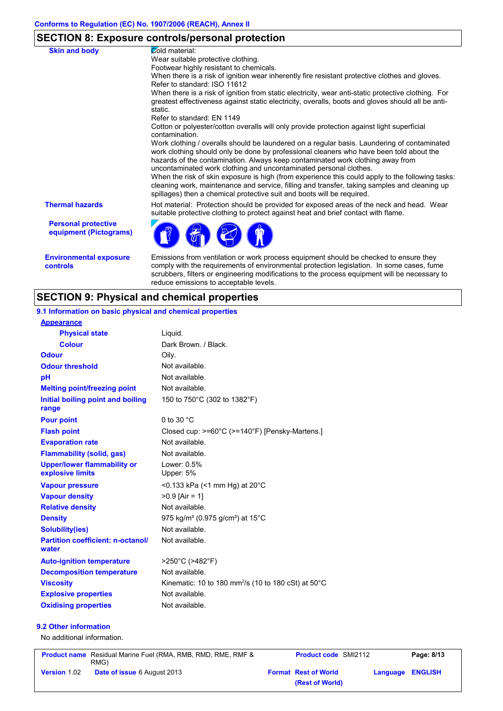# **SECTION 8: Exposure controls/personal protection**

| <b>Skin and body</b>                                 | <b>Zold material:</b><br>Wear suitable protective clothing.<br>Footwear highly resistant to chemicals.<br>When there is a risk of ignition wear inherently fire resistant protective clothes and gloves.<br>Refer to standard: ISO 11612<br>When there is a risk of ignition from static electricity, wear anti-static protective clothing. For<br>greatest effectiveness against static electricity, overalls, boots and gloves should all be anti-<br>static.<br>Refer to standard: FN 1149<br>Cotton or polyester/cotton overalls will only provide protection against light superficial<br>contamination.<br>Work clothing / overalls should be laundered on a regular basis. Laundering of contaminated<br>work clothing should only be done by professional cleaners who have been told about the<br>hazards of the contamination. Always keep contaminated work clothing away from<br>uncontaminated work clothing and uncontaminated personal clothes.<br>When the risk of skin exposure is high (from experience this could apply to the following tasks:<br>cleaning work, maintenance and service, filling and transfer, taking samples and cleaning up<br>spillages) then a chemical protective suit and boots will be required. |
|------------------------------------------------------|----------------------------------------------------------------------------------------------------------------------------------------------------------------------------------------------------------------------------------------------------------------------------------------------------------------------------------------------------------------------------------------------------------------------------------------------------------------------------------------------------------------------------------------------------------------------------------------------------------------------------------------------------------------------------------------------------------------------------------------------------------------------------------------------------------------------------------------------------------------------------------------------------------------------------------------------------------------------------------------------------------------------------------------------------------------------------------------------------------------------------------------------------------------------------------------------------------------------------------------------|
| <b>Thermal hazards</b>                               | Hot material: Protection should be provided for exposed areas of the neck and head. Wear<br>suitable protective clothing to protect against heat and brief contact with flame.                                                                                                                                                                                                                                                                                                                                                                                                                                                                                                                                                                                                                                                                                                                                                                                                                                                                                                                                                                                                                                                               |
| <b>Personal protective</b><br>equipment (Pictograms) |                                                                                                                                                                                                                                                                                                                                                                                                                                                                                                                                                                                                                                                                                                                                                                                                                                                                                                                                                                                                                                                                                                                                                                                                                                              |
| <b>Environmental exposure</b><br>controls            | Emissions from ventilation or work process equipment should be checked to ensure they<br>comply with the requirements of environmental protection legislation. In some cases, fume                                                                                                                                                                                                                                                                                                                                                                                                                                                                                                                                                                                                                                                                                                                                                                                                                                                                                                                                                                                                                                                           |

reduce emissions to acceptable levels.

scrubbers, filters or engineering modifications to the process equipment will be necessary to

# **SECTION 9: Physical and chemical properties**

#### **9.1 Information on basic physical and chemical properties**

| <b>Appearance</b>                                      |                                                                           |
|--------------------------------------------------------|---------------------------------------------------------------------------|
| <b>Physical state</b>                                  | Liquid.                                                                   |
| Colour                                                 | Dark Brown, / Black.                                                      |
| <b>Odour</b>                                           | Oily.                                                                     |
| <b>Odour threshold</b>                                 | Not available.                                                            |
| pH                                                     | Not available.                                                            |
| <b>Melting point/freezing point</b>                    | Not available.                                                            |
| Initial boiling point and boiling<br>range             | 150 to 750°C (302 to 1382°F)                                              |
| <b>Pour point</b>                                      | 0 to 30 $^{\circ}$ C                                                      |
| <b>Flash point</b>                                     | Closed cup: $>=60^{\circ}C$ ( $>=140^{\circ}F$ ) [Pensky-Martens.]        |
| <b>Evaporation rate</b>                                | Not available.                                                            |
| <b>Flammability (solid, gas)</b>                       | Not available.                                                            |
| <b>Upper/lower flammability or</b><br>explosive limits | Lower: 0.5%<br>Upper: 5%                                                  |
| <b>Vapour pressure</b>                                 | $<$ 0.133 kPa ( $<$ 1 mm Hg) at 20 $^{\circ}$ C                           |
| <b>Vapour density</b>                                  | $>0.9$ [Air = 1]                                                          |
| <b>Relative density</b>                                | Not available.                                                            |
| <b>Density</b>                                         | 975 kg/m <sup>3</sup> (0.975 g/cm <sup>3</sup> ) at 15°C                  |
| <b>Solubility(ies)</b>                                 | Not available.                                                            |
| <b>Partition coefficient: n-octanol/</b><br>water      | Not available.                                                            |
| <b>Auto-ignition temperature</b>                       | >250°C (>482°F)                                                           |
| <b>Decomposition temperature</b>                       | Not available.                                                            |
| <b>Viscosity</b>                                       | Kinematic: 10 to 180 mm <sup>2</sup> /s (10 to 180 cSt) at $50^{\circ}$ C |
| <b>Explosive properties</b>                            | Not available.                                                            |
| <b>Oxidising properties</b>                            | Not available.                                                            |
|                                                        |                                                                           |

## **9.2 Other information**

No additional information.

| <b>Product name</b> Residual Marine Fuel (RMA, RMB, RMD, RME, RMF &<br>RMG) | <b>Product code SMI2112</b>                    | Page: 8/13       |
|-----------------------------------------------------------------------------|------------------------------------------------|------------------|
| <b>Date of issue 6 August 2013</b><br><b>Version 1.02</b>                   | <b>Format Rest of World</b><br>(Rest of World) | Language ENGLISH |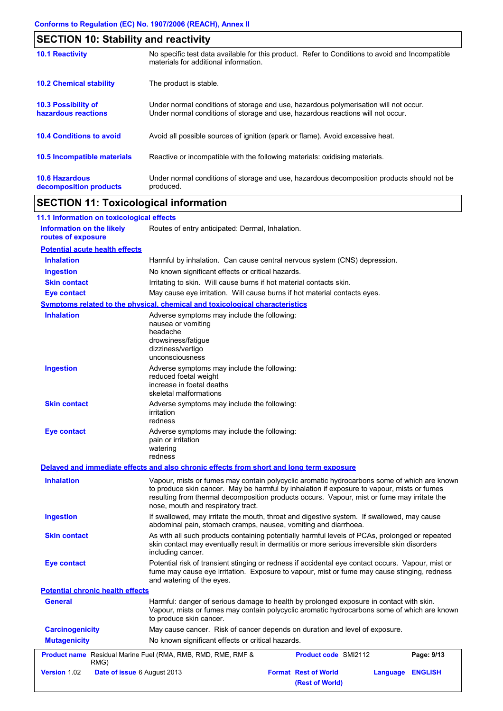| <b>SECTION 10: Stability and reactivity</b>     |                                                                                                                                                                         |  |
|-------------------------------------------------|-------------------------------------------------------------------------------------------------------------------------------------------------------------------------|--|
| <b>10.1 Reactivity</b>                          | No specific test data available for this product. Refer to Conditions to avoid and Incompatible<br>materials for additional information.                                |  |
| <b>10.2 Chemical stability</b>                  | The product is stable.                                                                                                                                                  |  |
| 10.3 Possibility of<br>hazardous reactions      | Under normal conditions of storage and use, hazardous polymerisation will not occur.<br>Under normal conditions of storage and use, hazardous reactions will not occur. |  |
| <b>10.4 Conditions to avoid</b>                 | Avoid all possible sources of ignition (spark or flame). Avoid excessive heat.                                                                                          |  |
| <b>10.5 Incompatible materials</b>              | Reactive or incompatible with the following materials: oxidising materials.                                                                                             |  |
| <b>10.6 Hazardous</b><br>decomposition products | Under normal conditions of storage and use, hazardous decomposition products should not be<br>produced.                                                                 |  |

# **SECTION 11: Toxicological information**

| 11.1 Information on toxicological effects       |                                                                                                                                                                                                                                                                                                                                |
|-------------------------------------------------|--------------------------------------------------------------------------------------------------------------------------------------------------------------------------------------------------------------------------------------------------------------------------------------------------------------------------------|
| Information on the likely<br>routes of exposure | Routes of entry anticipated: Dermal, Inhalation.                                                                                                                                                                                                                                                                               |
| <b>Potential acute health effects</b>           |                                                                                                                                                                                                                                                                                                                                |
| <b>Inhalation</b>                               | Harmful by inhalation. Can cause central nervous system (CNS) depression.                                                                                                                                                                                                                                                      |
| <b>Ingestion</b>                                | No known significant effects or critical hazards.                                                                                                                                                                                                                                                                              |
| <b>Skin contact</b>                             | Irritating to skin. Will cause burns if hot material contacts skin.                                                                                                                                                                                                                                                            |
| <b>Eye contact</b>                              | May cause eye irritation. Will cause burns if hot material contacts eyes.                                                                                                                                                                                                                                                      |
|                                                 | Symptoms related to the physical, chemical and toxicological characteristics                                                                                                                                                                                                                                                   |
| <b>Inhalation</b>                               | Adverse symptoms may include the following:<br>nausea or vomiting<br>headache<br>drowsiness/fatigue<br>dizziness/vertigo<br>unconsciousness                                                                                                                                                                                    |
| <b>Ingestion</b>                                | Adverse symptoms may include the following:<br>reduced foetal weight<br>increase in foetal deaths<br>skeletal malformations                                                                                                                                                                                                    |
| <b>Skin contact</b>                             | Adverse symptoms may include the following:<br>irritation<br>redness                                                                                                                                                                                                                                                           |
| <b>Eye contact</b>                              | Adverse symptoms may include the following:<br>pain or irritation<br>watering<br>redness                                                                                                                                                                                                                                       |
|                                                 | Delayed and immediate effects and also chronic effects from short and long term exposure                                                                                                                                                                                                                                       |
| <b>Inhalation</b>                               | Vapour, mists or fumes may contain polycyclic aromatic hydrocarbons some of which are known<br>to produce skin cancer. May be harmful by inhalation if exposure to vapour, mists or fumes<br>resulting from thermal decomposition products occurs. Vapour, mist or fume may irritate the<br>nose, mouth and respiratory tract. |
| <b>Ingestion</b>                                | If swallowed, may irritate the mouth, throat and digestive system. If swallowed, may cause<br>abdominal pain, stomach cramps, nausea, vomiting and diarrhoea.                                                                                                                                                                  |
| <b>Skin contact</b>                             | As with all such products containing potentially harmful levels of PCAs, prolonged or repeated<br>skin contact may eventually result in dermatitis or more serious irreversible skin disorders<br>including cancer.                                                                                                            |
| <b>Eye contact</b>                              | Potential risk of transient stinging or redness if accidental eye contact occurs. Vapour, mist or<br>fume may cause eye irritation. Exposure to vapour, mist or fume may cause stinging, redness<br>and watering of the eyes.                                                                                                  |
| <b>Potential chronic health effects</b>         |                                                                                                                                                                                                                                                                                                                                |
| General                                         | Harmful: danger of serious damage to health by prolonged exposure in contact with skin.<br>Vapour, mists or fumes may contain polycyclic aromatic hydrocarbons some of which are known<br>to produce skin cancer.                                                                                                              |
| <b>Carcinogenicity</b>                          | May cause cancer. Risk of cancer depends on duration and level of exposure.                                                                                                                                                                                                                                                    |
| <b>Mutagenicity</b>                             | No known significant effects or critical hazards.                                                                                                                                                                                                                                                                              |
| RMG)                                            | <b>Product name</b> Residual Marine Fuel (RMA, RMB, RMD, RME, RMF &<br><b>Product code SMI2112</b><br>Page: 9/13                                                                                                                                                                                                               |
| Version 1.02                                    | Date of issue 6 August 2013<br><b>Format Rest of World</b><br><b>ENGLISH</b><br>Language<br>(Rest of World)                                                                                                                                                                                                                    |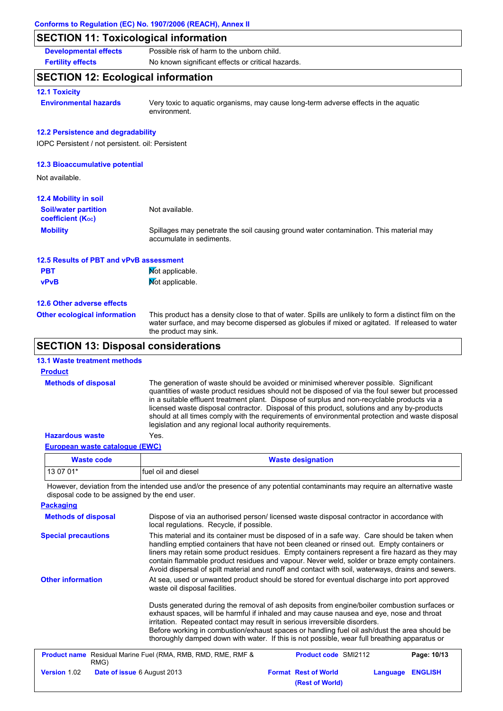# **SECTION 11: Toxicological information**

| <b>SECTION 12: Ecological information</b> |                                                   |
|-------------------------------------------|---------------------------------------------------|
| <b>Fertility effects</b>                  | No known significant effects or critical hazards. |
| <b>Developmental effects</b>              | Possible risk of harm to the unborn child.        |
|                                           |                                                   |

## **SECTION 12: Ecological information**

#### **12.1 Toxicity**

**Environmental hazards** Very toxic to aquatic organisms, may cause long-term adverse effects in the aquatic environment.

#### **12.2 Persistence and degradability**

IOPC Persistent / not persistent. oil: Persistent

#### **12.3 Bioaccumulative potential**

Not available.

| <b>12.4 Mobility in soil</b>                                  |                                                                                                                    |
|---------------------------------------------------------------|--------------------------------------------------------------------------------------------------------------------|
| <b>Soil/water partition</b><br>coefficient (K <sub>oc</sub> ) | Not available.                                                                                                     |
| <b>Mobility</b>                                               | Spillages may penetrate the soil causing ground water contamination. This material may<br>accumulate in sediments. |

| 12.5 Results of PBT and vPvB assessment |                 |  |
|-----------------------------------------|-----------------|--|
| <b>PBT</b>                              | Mot applicable. |  |
| vPvB                                    | Mot applicable. |  |

#### **12.6 Other adverse effects**

**Other ecological information**

This product has a density close to that of water. Spills are unlikely to form a distinct film on the water surface, and may become dispersed as globules if mixed or agitated. If released to water the product may sink.

## **SECTION 13: Disposal considerations**

#### **Methods of disposal 13.1 Waste treatment methods Product**

The generation of waste should be avoided or minimised wherever possible. Significant quantities of waste product residues should not be disposed of via the foul sewer but processed in a suitable effluent treatment plant. Dispose of surplus and non-recyclable products via a licensed waste disposal contractor. Disposal of this product, solutions and any by-products should at all times comply with the requirements of environmental protection and waste disposal legislation and any regional local authority requirements.

#### **Hazardous waste** Yes.

#### **European waste catalogue (EWC)**

| <b>Waste code</b> | <b>Waste designation</b> |
|-------------------|--------------------------|
| l 13 07 01*       | Ifuel oil and diesel     |

However, deviation from the intended use and/or the presence of any potential contaminants may require an alternative waste disposal code to be assigned by the end user.

| <b>Packaging</b>           |                                    |                                                                                                                                                                                                                                                                                                                                                                                                                                                                                                 |                                                |          |                |
|----------------------------|------------------------------------|-------------------------------------------------------------------------------------------------------------------------------------------------------------------------------------------------------------------------------------------------------------------------------------------------------------------------------------------------------------------------------------------------------------------------------------------------------------------------------------------------|------------------------------------------------|----------|----------------|
| <b>Methods of disposal</b> |                                    | Dispose of via an authorised person/licensed waste disposal contractor in accordance with<br>local regulations. Recycle, if possible.                                                                                                                                                                                                                                                                                                                                                           |                                                |          |                |
| <b>Special precautions</b> |                                    | This material and its container must be disposed of in a safe way. Care should be taken when<br>handling emptied containers that have not been cleaned or rinsed out. Empty containers or<br>liners may retain some product residues. Empty containers represent a fire hazard as they may<br>contain flammable product residues and vapour. Never weld, solder or braze empty containers.<br>Avoid dispersal of spilt material and runoff and contact with soil, waterways, drains and sewers. |                                                |          |                |
| <b>Other information</b>   |                                    | At sea, used or unwanted product should be stored for eventual discharge into port approved<br>waste oil disposal facilities.                                                                                                                                                                                                                                                                                                                                                                   |                                                |          |                |
|                            |                                    | Dusts generated during the removal of ash deposits from engine/boiler combustion surfaces or<br>exhaust spaces, will be harmful if inhaled and may cause nausea and eye, nose and throat<br>irritation. Repeated contact may result in serious irreversible disorders.<br>Before working in combustion/exhaust spaces or handling fuel oil ash/dust the area should be<br>thoroughly damped down with water. If this is not possible, wear full breathing apparatus or                          |                                                |          |                |
|                            | RMG)                               | <b>Product name</b> Residual Marine Fuel (RMA, RMB, RMD, RME, RMF &                                                                                                                                                                                                                                                                                                                                                                                                                             | <b>Product code SMI2112</b>                    |          | Page: 10/13    |
| <b>Version 1.02</b>        | <b>Date of issue 6 August 2013</b> |                                                                                                                                                                                                                                                                                                                                                                                                                                                                                                 | <b>Format Rest of World</b><br>(Rest of World) | Language | <b>ENGLISH</b> |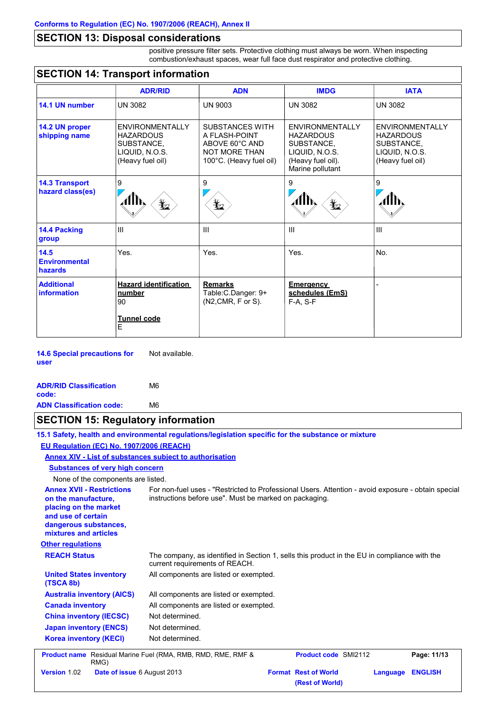# **SECTION 13: Disposal considerations**

positive pressure filter sets. Protective clothing must always be worn. When inspecting combustion/exhaust spaces, wear full face dust respirator and protective clothing.

| <b>SECTION 14: Transport information</b>  |                                                                                                |                                                                                                              |                                                                                                              |                                                                                                |
|-------------------------------------------|------------------------------------------------------------------------------------------------|--------------------------------------------------------------------------------------------------------------|--------------------------------------------------------------------------------------------------------------|------------------------------------------------------------------------------------------------|
|                                           | <b>ADR/RID</b>                                                                                 | <b>ADN</b>                                                                                                   | <b>IMDG</b>                                                                                                  | <b>IATA</b>                                                                                    |
| 14.1 UN number                            | <b>UN 3082</b>                                                                                 | <b>UN 9003</b>                                                                                               | <b>UN 3082</b>                                                                                               | <b>UN 3082</b>                                                                                 |
| 14.2 UN proper<br>shipping name           | <b>ENVIRONMENTALLY</b><br><b>HAZARDOUS</b><br>SUBSTANCE,<br>LIQUID, N.O.S.<br>(Heavy fuel oil) | <b>SUBSTANCES WITH</b><br>A FLASH-POINT<br>ABOVE 60°C AND<br><b>NOT MORE THAN</b><br>100°C. (Heavy fuel oil) | ENVIRONMENTALLY<br><b>HAZARDOUS</b><br>SUBSTANCE.<br>LIQUID, N.O.S.<br>(Heavy fuel oil).<br>Marine pollutant | <b>ENVIRONMENTALLY</b><br><b>HAZARDOUS</b><br>SUBSTANCE,<br>LIQUID, N.O.S.<br>(Heavy fuel oil) |
| <b>14.3 Transport</b><br>hazard class(es) | 9<br>$\mathbf{\mathbf{\underline{*}}}\mathbf{z}$                                               | 9<br>$\bigstar$                                                                                              | 9<br>$\mathbf{\mathbf{\underline{*}}}%$                                                                      | 9                                                                                              |
| 14.4 Packing<br>group                     | Ш                                                                                              | III                                                                                                          | $\mathbf{III}$                                                                                               | $\mathbf{III}$                                                                                 |
| 14.5<br><b>Environmental</b><br>hazards   | Yes.                                                                                           | Yes.                                                                                                         | Yes.                                                                                                         | No.                                                                                            |
| <b>Additional</b><br>information          | <b>Hazard identification</b><br>number<br>90<br>Tunnel code<br>Е                               | <b>Remarks</b><br>Table: C. Danger: 9+<br>(N2, CMR, F or S).                                                 | <b>Emergency</b><br>schedules (EmS)<br>F-A. S-F                                                              |                                                                                                |

**14.6 Special precautions for user** Not available.

| <b>ADR/RID Classification</b><br>code: | M6 |  |
|----------------------------------------|----|--|
| <b>ADN Classification code:</b>        | M6 |  |

## **SECTION 15: Regulatory information**

**15.1 Safety, health and environmental regulations/legislation specific for the substance or mixture EU Regulation (EC) No. 1907/2006 (REACH)**

# **Annex XIV - List of substances subject to authorisation**

**Substances of very high concern**

None of the components are listed.

| <b>TWOTIC OF THE COMPONEMIC AT CHISTCA.</b>                                                                                                              |                                                                                                                                                              |
|----------------------------------------------------------------------------------------------------------------------------------------------------------|--------------------------------------------------------------------------------------------------------------------------------------------------------------|
| <b>Annex XVII - Restrictions</b><br>on the manufacture,<br>placing on the market<br>and use of certain<br>dangerous substances,<br>mixtures and articles | For non-fuel uses - "Restricted to Professional Users. Attention - avoid exposure - obtain special<br>instructions before use". Must be marked on packaging. |
| <b>Other regulations</b>                                                                                                                                 |                                                                                                                                                              |
| <b>REACH Status</b>                                                                                                                                      | The company, as identified in Section 1, sells this product in the EU in compliance with the<br>current requirements of REACH.                               |
| <b>United States inventory</b><br>(TSCA 8b)                                                                                                              | All components are listed or exempted.                                                                                                                       |
| <b>Australia inventory (AICS)</b>                                                                                                                        | All components are listed or exempted.                                                                                                                       |
| <b>Canada inventory</b>                                                                                                                                  | All components are listed or exempted.                                                                                                                       |
| <b>China inventory (IECSC)</b>                                                                                                                           | Not determined.                                                                                                                                              |
| <b>Japan inventory (ENCS)</b>                                                                                                                            | Not determined.                                                                                                                                              |
| <b>Korea inventory (KECI)</b>                                                                                                                            | Not determined.                                                                                                                                              |
| RMG)                                                                                                                                                     | Product name Residual Marine Fuel (RMA, RMB, RMD, RME, RMF &<br><b>Product code SMI2112</b><br>Page: 11/13                                                   |

|                     | $\cdots$                           |                             |                         |
|---------------------|------------------------------------|-----------------------------|-------------------------|
| <b>Version 1.02</b> | <b>Date of issue 6 August 2013</b> | <b>Format Rest of World</b> | <b>Language ENGLISH</b> |
|                     |                                    | (Rest of World)             |                         |
|                     |                                    |                             |                         |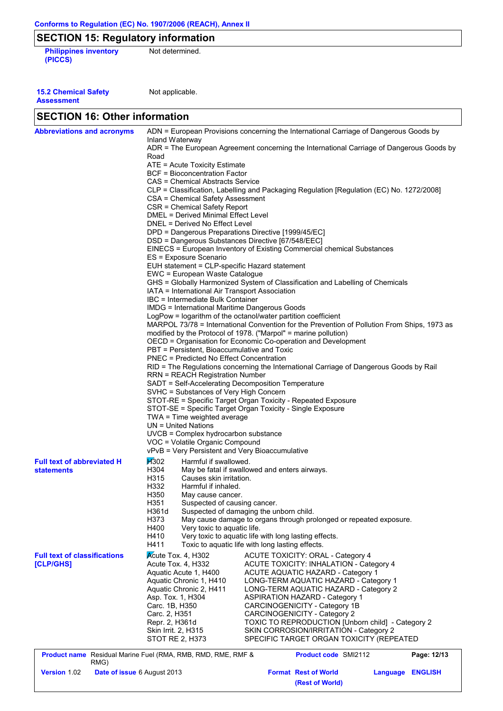# **SECTION 15: Regulatory information**

| <b>Philippines invent</b> |  |
|---------------------------|--|
| (PICCS)                   |  |

**Philippines inventory Philode Not determined.** 

**15.2 Chemical Safety Assessment**

Not applicable.

# **SECTION 16: Other information**

| <b>Abbreviations and acronyms</b>   | Inland Waterway                                                                           | ADN = European Provisions concerning the International Carriage of Dangerous Goods by                     |                |  |  |  |
|-------------------------------------|-------------------------------------------------------------------------------------------|-----------------------------------------------------------------------------------------------------------|----------------|--|--|--|
|                                     | Road                                                                                      | ADR = The European Agreement concerning the International Carriage of Dangerous Goods by                  |                |  |  |  |
|                                     | ATE = Acute Toxicity Estimate                                                             |                                                                                                           |                |  |  |  |
|                                     | BCF = Bioconcentration Factor                                                             |                                                                                                           |                |  |  |  |
|                                     | CAS = Chemical Abstracts Service                                                          |                                                                                                           |                |  |  |  |
|                                     |                                                                                           | CLP = Classification, Labelling and Packaging Regulation [Regulation (EC) No. 1272/2008]                  |                |  |  |  |
|                                     | CSA = Chemical Safety Assessment                                                          |                                                                                                           |                |  |  |  |
|                                     | CSR = Chemical Safety Report                                                              |                                                                                                           |                |  |  |  |
|                                     | DMEL = Derived Minimal Effect Level                                                       |                                                                                                           |                |  |  |  |
|                                     | DNEL = Derived No Effect Level<br>DPD = Dangerous Preparations Directive [1999/45/EC]     |                                                                                                           |                |  |  |  |
|                                     | DSD = Dangerous Substances Directive [67/548/EEC]                                         |                                                                                                           |                |  |  |  |
|                                     |                                                                                           | EINECS = European Inventory of Existing Commercial chemical Substances                                    |                |  |  |  |
|                                     | ES = Exposure Scenario                                                                    |                                                                                                           |                |  |  |  |
|                                     | EUH statement = CLP-specific Hazard statement                                             |                                                                                                           |                |  |  |  |
|                                     | EWC = European Waste Catalogue                                                            |                                                                                                           |                |  |  |  |
|                                     |                                                                                           | GHS = Globally Harmonized System of Classification and Labelling of Chemicals                             |                |  |  |  |
|                                     | IATA = International Air Transport Association                                            |                                                                                                           |                |  |  |  |
|                                     | IBC = Intermediate Bulk Container<br><b>IMDG = International Maritime Dangerous Goods</b> |                                                                                                           |                |  |  |  |
|                                     |                                                                                           | LogPow = logarithm of the octanol/water partition coefficient                                             |                |  |  |  |
|                                     |                                                                                           | MARPOL 73/78 = International Convention for the Prevention of Pollution From Ships, 1973 as               |                |  |  |  |
|                                     |                                                                                           | modified by the Protocol of 1978. ("Marpol" = marine pollution)                                           |                |  |  |  |
|                                     |                                                                                           | OECD = Organisation for Economic Co-operation and Development                                             |                |  |  |  |
|                                     | PBT = Persistent, Bioaccumulative and Toxic                                               |                                                                                                           |                |  |  |  |
|                                     | <b>PNEC = Predicted No Effect Concentration</b>                                           |                                                                                                           |                |  |  |  |
|                                     |                                                                                           | RID = The Regulations concerning the International Carriage of Dangerous Goods by Rail                    |                |  |  |  |
|                                     |                                                                                           | <b>RRN = REACH Registration Number</b><br>SADT = Self-Accelerating Decomposition Temperature              |                |  |  |  |
|                                     | SVHC = Substances of Very High Concern                                                    |                                                                                                           |                |  |  |  |
|                                     |                                                                                           | STOT-RE = Specific Target Organ Toxicity - Repeated Exposure                                              |                |  |  |  |
|                                     | STOT-SE = Specific Target Organ Toxicity - Single Exposure                                |                                                                                                           |                |  |  |  |
|                                     | TWA = Time weighted average                                                               |                                                                                                           |                |  |  |  |
|                                     | $UN = United Nations$                                                                     |                                                                                                           |                |  |  |  |
|                                     | UVCB = Complex hydrocarbon substance                                                      |                                                                                                           |                |  |  |  |
|                                     | VOC = Volatile Organic Compound<br>vPvB = Very Persistent and Very Bioaccumulative        |                                                                                                           |                |  |  |  |
|                                     |                                                                                           |                                                                                                           |                |  |  |  |
| <b>Full text of abbreviated H</b>   | <b>H</b> 302<br>Harmful if swallowed.                                                     |                                                                                                           |                |  |  |  |
| <b>statements</b>                   | H315                                                                                      | H304<br>May be fatal if swallowed and enters airways.<br>Causes skin irritation.                          |                |  |  |  |
|                                     | H332<br>Harmful if inhaled.                                                               |                                                                                                           |                |  |  |  |
|                                     | H350<br>May cause cancer.                                                                 |                                                                                                           |                |  |  |  |
|                                     | H351<br>Suspected of causing cancer.                                                      |                                                                                                           |                |  |  |  |
|                                     | H361d<br>Suspected of damaging the unborn child.                                          |                                                                                                           |                |  |  |  |
|                                     | H373<br>May cause damage to organs through prolonged or repeated exposure.                |                                                                                                           |                |  |  |  |
|                                     | H410                                                                                      | H400<br>Very toxic to aquatic life.                                                                       |                |  |  |  |
|                                     | H411                                                                                      | Very toxic to aquatic life with long lasting effects.<br>Toxic to aquatic life with long lasting effects. |                |  |  |  |
| <b>Full text of classifications</b> | Kcute Tox. 4, H302                                                                        | <b>ACUTE TOXICITY: ORAL - Category 4</b>                                                                  |                |  |  |  |
| <b>[CLP/GHS]</b>                    | Acute Tox. 4, H332                                                                        | <b>ACUTE TOXICITY: INHALATION - Category 4</b>                                                            |                |  |  |  |
|                                     | Aquatic Acute 1, H400                                                                     | ACUTE AQUATIC HAZARD - Category 1                                                                         |                |  |  |  |
|                                     | Aquatic Chronic 1, H410                                                                   | LONG-TERM AQUATIC HAZARD - Category 1                                                                     |                |  |  |  |
|                                     | Aquatic Chronic 2, H411                                                                   | LONG-TERM AQUATIC HAZARD - Category 2                                                                     |                |  |  |  |
|                                     | Asp. Tox. 1, H304                                                                         | <b>ASPIRATION HAZARD - Category 1</b>                                                                     |                |  |  |  |
|                                     | Carc. 1B, H350                                                                            | CARCINOGENICITY - Category 1B                                                                             |                |  |  |  |
|                                     | Carc. 2, H351<br>Repr. 2, H361d                                                           | CARCINOGENICITY - Category 2<br>TOXIC TO REPRODUCTION [Unborn child] - Category 2                         |                |  |  |  |
|                                     | Skin Irrit. 2, H315                                                                       | SKIN CORROSION/IRRITATION - Category 2                                                                    |                |  |  |  |
|                                     | STOT RE 2, H373                                                                           | SPECIFIC TARGET ORGAN TOXICITY (REPEATED                                                                  |                |  |  |  |
|                                     |                                                                                           |                                                                                                           |                |  |  |  |
| RMG)                                | <b>Product name</b> Residual Marine Fuel (RMA, RMB, RMD, RME, RMF &                       | <b>Product code SMI2112</b>                                                                               | Page: 12/13    |  |  |  |
| <b>Version 1.02</b>                 | Date of issue 6 August 2013                                                               | <b>Format Rest of World</b><br>Language                                                                   | <b>ENGLISH</b> |  |  |  |
|                                     |                                                                                           | (Rest of World)                                                                                           |                |  |  |  |
|                                     |                                                                                           |                                                                                                           |                |  |  |  |